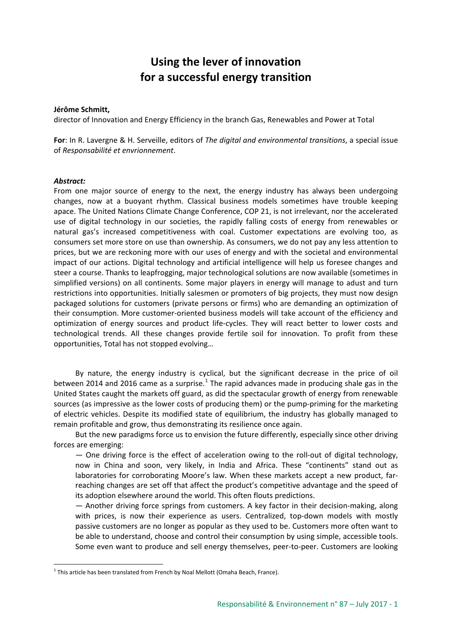## **Using the lever of innovation for a successful energy transition**

## **Jérôme Schmitt,**

director of Innovation and Energy Efficiency in the branch Gas, Renewables and Power at Total

**For**: In R. Lavergne & H. Serveille, editors of *The digital and environmental transitions*, a special issue of *Responsabilité et envrionnement*.

## *Abstract:*

From one major source of energy to the next, the energy industry has always been undergoing changes, now at a buoyant rhythm. Classical business models sometimes have trouble keeping apace. The United Nations Climate Change Conference, COP 21, is not irrelevant, nor the accelerated use of digital technology in our societies, the rapidly falling costs of energy from renewables or natural gas's increased competitiveness with coal. Customer expectations are evolving too, as consumers set more store on use than ownership. As consumers, we do not pay any less attention to prices, but we are reckoning more with our uses of energy and with the societal and environmental impact of our actions. Digital technology and artificial intelligence will help us foresee changes and steer a course. Thanks to leapfrogging, major technological solutions are now available (sometimes in simplified versions) on all continents. Some major players in energy will manage to adust and turn restrictions into opportunities. Initially salesmen or promoters of big projects, they must now design packaged solutions for customers (private persons or firms) who are demanding an optimization of their consumption. More customer-oriented business models will take account of the efficiency and optimization of energy sources and product life-cycles. They will react better to lower costs and technological trends. All these changes provide fertile soil for innovation. To profit from these opportunities, Total has not stopped evolving…

By nature, the energy industry is cyclical, but the significant decrease in the price of oil between 20[1](#page-0-0)4 and 2016 came as a surprise.<sup>1</sup> The rapid advances made in producing shale gas in the United States caught the markets off guard, as did the spectacular growth of energy from renewable sources (as impressive as the lower costs of producing them) or the pump-priming for the marketing of electric vehicles. Despite its modified state of equilibrium, the industry has globally managed to remain profitable and grow, thus demonstrating its resilience once again.

But the new paradigms force us to envision the future differently, especially since other driving forces are emerging:

— One driving force is the effect of acceleration owing to the roll-out of digital technology, now in China and soon, very likely, in India and Africa. These "continents" stand out as laboratories for corroborating Moore's law. When these markets accept a new product, farreaching changes are set off that affect the product's competitive advantage and the speed of its adoption elsewhere around the world. This often flouts predictions.

— Another driving force springs from customers. A key factor in their decision-making, along with prices, is now their experience as users. Centralized, top-down models with mostly passive customers are no longer as popular as they used to be. Customers more often want to be able to understand, choose and control their consumption by using simple, accessible tools. Some even want to produce and sell energy themselves, peer-to-peer. Customers are looking

<span id="page-0-0"></span> $1$  This article has been translated from French by Noal Mellott (Omaha Beach, France).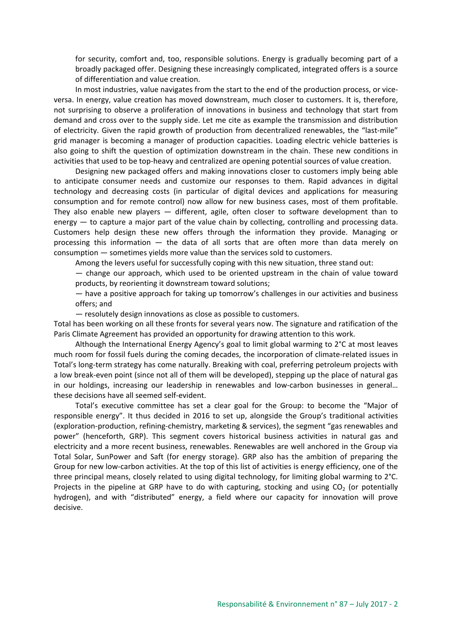for security, comfort and, too, responsible solutions. Energy is gradually becoming part of a broadly packaged offer. Designing these increasingly complicated, integrated offers is a source of differentiation and value creation.

In most industries, value navigates from the start to the end of the production process, or viceversa. In energy, value creation has moved downstream, much closer to customers. It is, therefore, not surprising to observe a proliferation of innovations in business and technology that start from demand and cross over to the supply side. Let me cite as example the transmission and distribution of electricity. Given the rapid growth of production from decentralized renewables, the "last-mile" grid manager is becoming a manager of production capacities. Loading electric vehicle batteries is also going to shift the question of optimization downstream in the chain. These new conditions in activities that used to be top-heavy and centralized are opening potential sources of value creation.

Designing new packaged offers and making innovations closer to customers imply being able to anticipate consumer needs and customize our responses to them. Rapid advances in digital technology and decreasing costs (in particular of digital devices and applications for measuring consumption and for remote control) now allow for new business cases, most of them profitable. They also enable new players — different, agile, often closer to software development than to energy — to capture a major part of the value chain by collecting, controlling and processing data. Customers help design these new offers through the information they provide. Managing or processing this information — the data of all sorts that are often more than data merely on consumption — sometimes yields more value than the services sold to customers.

Among the levers useful for successfully coping with this new situation, three stand out:

— change our approach, which used to be oriented upstream in the chain of value toward products, by reorienting it downstream toward solutions;

— have a positive approach for taking up tomorrow's challenges in our activities and business offers; and

— resolutely design innovations as close as possible to customers.

Total has been working on all these fronts for several years now. The signature and ratification of the Paris Climate Agreement has provided an opportunity for drawing attention to this work.

Although the International Energy Agency's goal to limit global warming to 2°C at most leaves much room for fossil fuels during the coming decades, the incorporation of climate-related issues in Total's long-term strategy has come naturally. Breaking with coal, preferring petroleum projects with a low break-even point (since not all of them will be developed), stepping up the place of natural gas in our holdings, increasing our leadership in renewables and low-carbon businesses in general… these decisions have all seemed self-evident.

Total's executive committee has set a clear goal for the Group: to become the "Major of responsible energy". It thus decided in 2016 to set up, alongside the Group's traditional activities (exploration-production, refining-chemistry, marketing & services), the segment "gas renewables and power" (henceforth, GRP). This segment covers historical business activities in natural gas and electricity and a more recent business, renewables. Renewables are well anchored in the Group via Total Solar, SunPower and Saft (for energy storage). GRP also has the ambition of preparing the Group for new low-carbon activities. At the top of this list of activities is energy efficiency, one of the three principal means, closely related to using digital technology, for limiting global warming to 2°C. Projects in the pipeline at GRP have to do with capturing, stocking and using  $CO<sub>2</sub>$  (or potentially hydrogen), and with "distributed" energy, a field where our capacity for innovation will prove decisive.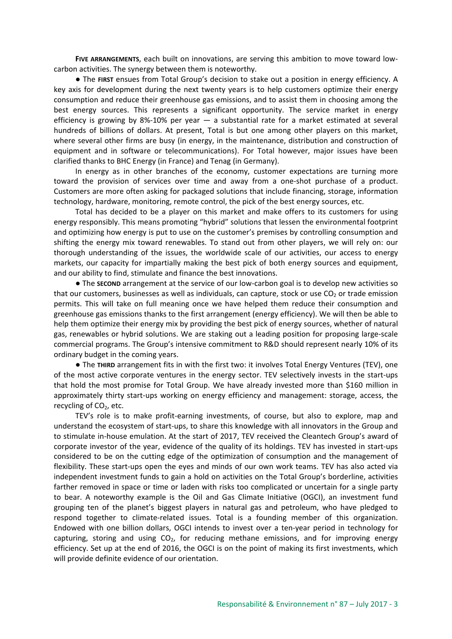**FIVE ARRANGEMENTS**, each built on innovations, are serving this ambition to move toward lowcarbon activities. The synergy between them is noteworthy.

● The **FIRST** ensues from Total Group's decision to stake out a position in energy efficiency. A key axis for development during the next twenty years is to help customers optimize their energy consumption and reduce their greenhouse gas emissions, and to assist them in choosing among the best energy sources. This represents a significant opportunity. The service market in energy efficiency is growing by 8%-10% per year — a substantial rate for a market estimated at several hundreds of billions of dollars. At present, Total is but one among other players on this market, where several other firms are busy (in energy, in the maintenance, distribution and construction of equipment and in software or telecommunications). For Total however, major issues have been clarified thanks to BHC Energy (in France) and Tenag (in Germany).

In energy as in other branches of the economy, customer expectations are turning more toward the provision of services over time and away from a one-shot purchase of a product. Customers are more often asking for packaged solutions that include financing, storage, information technology, hardware, monitoring, remote control, the pick of the best energy sources, etc.

Total has decided to be a player on this market and make offers to its customers for using energy responsibly. This means promoting "hybrid" solutions that lessen the environmental footprint and optimizing how energy is put to use on the customer's premises by controlling consumption and shifting the energy mix toward renewables. To stand out from other players, we will rely on: our thorough understanding of the issues, the worldwide scale of our activities, our access to energy markets, our capacity for impartially making the best pick of both energy sources and equipment, and our ability to find, stimulate and finance the best innovations.

● The **SECOND** arrangement at the service of our low-carbon goal is to develop new activities so that our customers, businesses as well as individuals, can capture, stock or use  $CO<sub>2</sub>$  or trade emission permits. This will take on full meaning once we have helped them reduce their consumption and greenhouse gas emissions thanks to the first arrangement (energy efficiency). We will then be able to help them optimize their energy mix by providing the best pick of energy sources, whether of natural gas, renewables or hybrid solutions. We are staking out a leading position for proposing large-scale commercial programs. The Group's intensive commitment to R&D should represent nearly 10% of its ordinary budget in the coming years.

● The **THIRD** arrangement fits in with the first two: it involves Total Energy Ventures (TEV), one of the most active corporate ventures in the energy sector. TEV selectively invests in the start-ups that hold the most promise for Total Group. We have already invested more than \$160 million in approximately thirty start-ups working on energy efficiency and management: storage, access, the recycling of  $CO<sub>2</sub>$ , etc.

TEV's role is to make profit-earning investments, of course, but also to explore, map and understand the ecosystem of start-ups, to share this knowledge with all innovators in the Group and to stimulate in-house emulation. At the start of 2017, TEV received the Cleantech Group's award of corporate investor of the year, evidence of the quality of its holdings. TEV has invested in start-ups considered to be on the cutting edge of the optimization of consumption and the management of flexibility. These start-ups open the eyes and minds of our own work teams. TEV has also acted via independent investment funds to gain a hold on activities on the Total Group's borderline, activities farther removed in space or time or laden with risks too complicated or uncertain for a single party to bear. A noteworthy example is the Oil and Gas Climate Initiative (OGCI), an investment fund grouping ten of the planet's biggest players in natural gas and petroleum, who have pledged to respond together to climate-related issues. Total is a founding member of this organization. Endowed with one billion dollars, OGCI intends to invest over a ten-year period in technology for capturing, storing and using  $CO<sub>2</sub>$ , for reducing methane emissions, and for improving energy efficiency. Set up at the end of 2016, the OGCI is on the point of making its first investments, which will provide definite evidence of our orientation.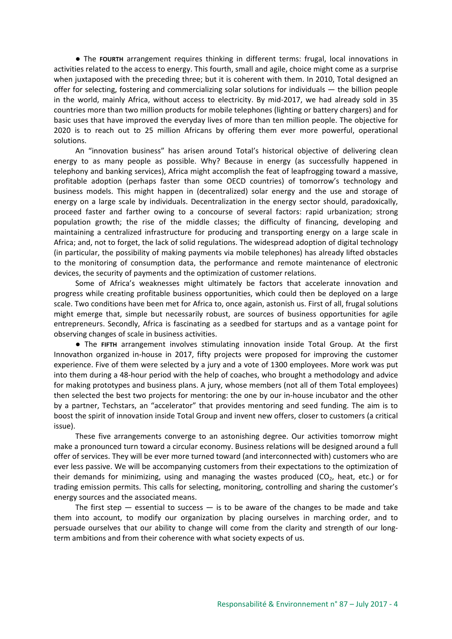● The **FOURTH** arrangement requires thinking in different terms: frugal, local innovations in activities related to the access to energy. This fourth, small and agile, choice might come as a surprise when juxtaposed with the preceding three; but it is coherent with them. In 2010, Total designed an offer for selecting, fostering and commercializing solar solutions for individuals — the billion people in the world, mainly Africa, without access to electricity. By mid-2017, we had already sold in 35 countries more than two million products for mobile telephones (lighting or battery chargers) and for basic uses that have improved the everyday lives of more than ten million people. The objective for 2020 is to reach out to 25 million Africans by offering them ever more powerful, operational solutions.

An "innovation business" has arisen around Total's historical objective of delivering clean energy to as many people as possible. Why? Because in energy (as successfully happened in telephony and banking services), Africa might accomplish the feat of leapfrogging toward a massive, profitable adoption (perhaps faster than some OECD countries) of tomorrow's technology and business models. This might happen in (decentralized) solar energy and the use and storage of energy on a large scale by individuals. Decentralization in the energy sector should, paradoxically, proceed faster and farther owing to a concourse of several factors: rapid urbanization; strong population growth; the rise of the middle classes; the difficulty of financing, developing and maintaining a centralized infrastructure for producing and transporting energy on a large scale in Africa; and, not to forget, the lack of solid regulations. The widespread adoption of digital technology (in particular, the possibility of making payments via mobile telephones) has already lifted obstacles to the monitoring of consumption data, the performance and remote maintenance of electronic devices, the security of payments and the optimization of customer relations.

Some of Africa's weaknesses might ultimately be factors that accelerate innovation and progress while creating profitable business opportunities, which could then be deployed on a large scale. Two conditions have been met for Africa to, once again, astonish us. First of all, frugal solutions might emerge that, simple but necessarily robust, are sources of business opportunities for agile entrepreneurs. Secondly, Africa is fascinating as a seedbed for startups and as a vantage point for observing changes of scale in business activities.

● The **FIFTH** arrangement involves stimulating innovation inside Total Group. At the first Innovathon organized in-house in 2017, fifty projects were proposed for improving the customer experience. Five of them were selected by a jury and a vote of 1300 employees. More work was put into them during a 48-hour period with the help of coaches, who brought a methodology and advice for making prototypes and business plans. A jury, whose members (not all of them Total employees) then selected the best two projects for mentoring: the one by our in-house incubator and the other by a partner, Techstars, an "accelerator" that provides mentoring and seed funding. The aim is to boost the spirit of innovation inside Total Group and invent new offers, closer to customers (a critical issue).

These five arrangements converge to an astonishing degree. Our activities tomorrow might make a pronounced turn toward a circular economy. Business relations will be designed around a full offer of services. They will be ever more turned toward (and interconnected with) customers who are ever less passive. We will be accompanying customers from their expectations to the optimization of their demands for minimizing, using and managing the wastes produced  $(CO<sub>2</sub>)$ , heat, etc.) or for trading emission permits. This calls for selecting, monitoring, controlling and sharing the customer's energy sources and the associated means.

The first step  $-$  essential to success  $-$  is to be aware of the changes to be made and take them into account, to modify our organization by placing ourselves in marching order, and to persuade ourselves that our ability to change will come from the clarity and strength of our longterm ambitions and from their coherence with what society expects of us.